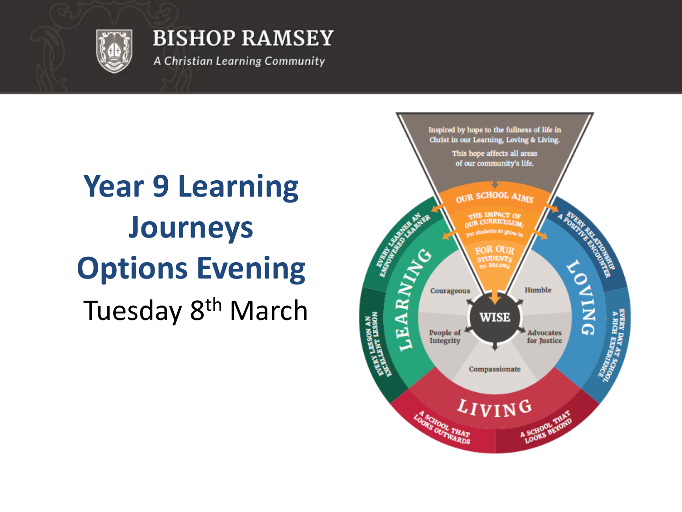

A Christian Learning Community

# Tuesday 8<sup>th</sup> March **Year 9 Learning Journeys Options Evening**

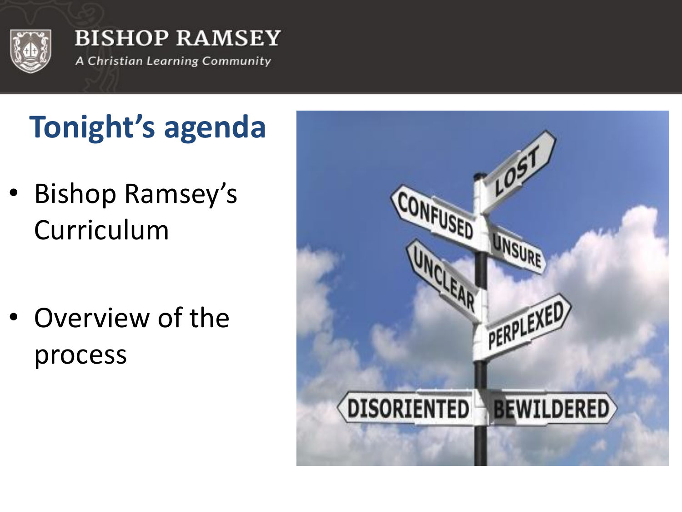

# **Tonight's agenda**

• Bishop Ramsey's Curriculum

Overview of the process

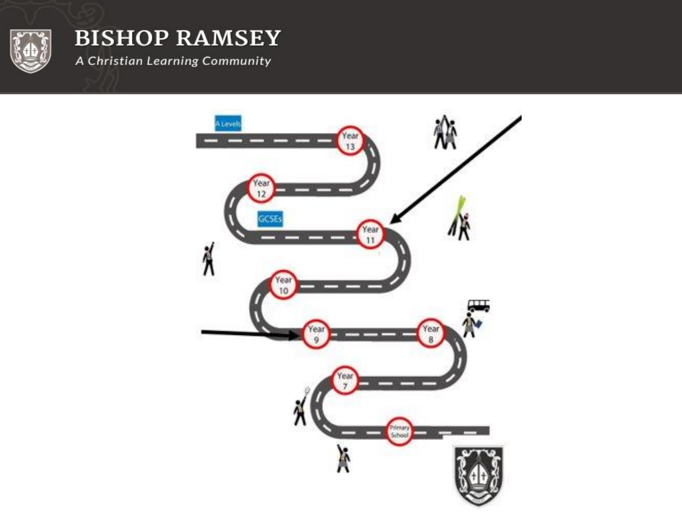

A Christian Learning Community

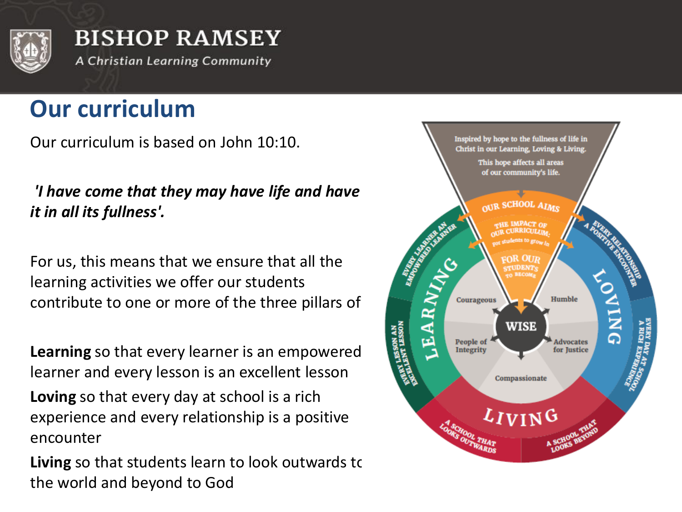

### **Our curriculum**

Our curriculum is based on John 10:10.

*'I have come that they may have life and have it in all its fullness'.*

For us, this means that we ensure that all the learning activities we offer our students contribute to one or more of the three pillars of:

**Learning** so that every learner is an empowered learner and every lesson is an excellent lesson **Loving** so that every day at school is a rich experience and every relationship is a positive encounter

**Living** so that students learn to look outwards to the world and beyond to God

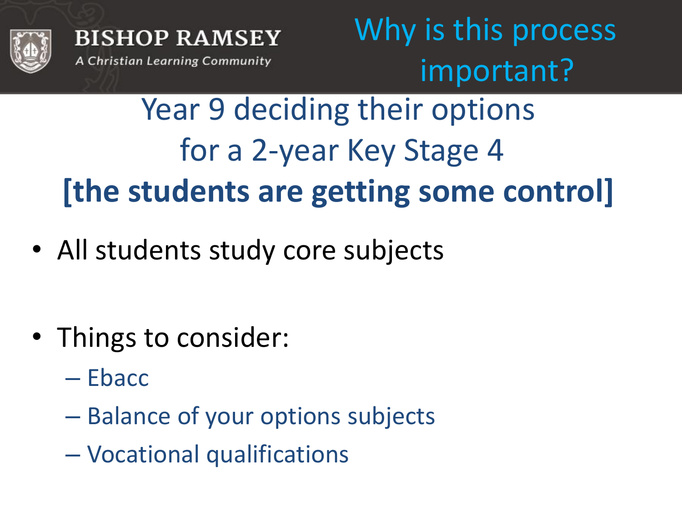

Why is this process important?

Year 9 deciding their options for a 2-year Key Stage 4 **[the students are getting some control]**

• All students study core subjects

- Things to consider:
	- Ebacc
	- Balance of your options subjects
	- Vocational qualifications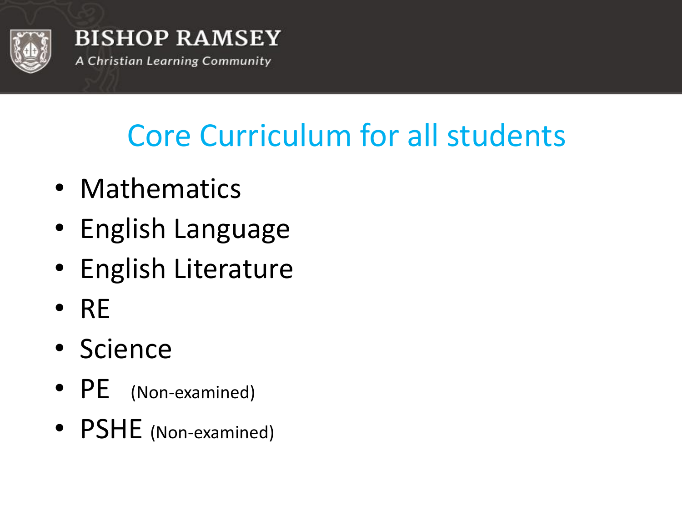

## Core Curriculum for all students

- Mathematics
- English Language
- English Literature
- RE
- Science
- PE (Non-examined)
- PSHE (Non-examined)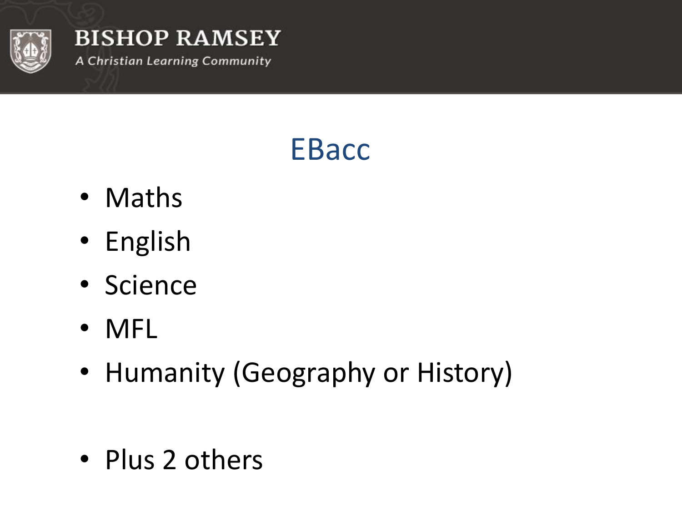

### **EBacc**

- Maths
- English
- Science
- MFL
- Humanity (Geography or History)

• Plus 2 others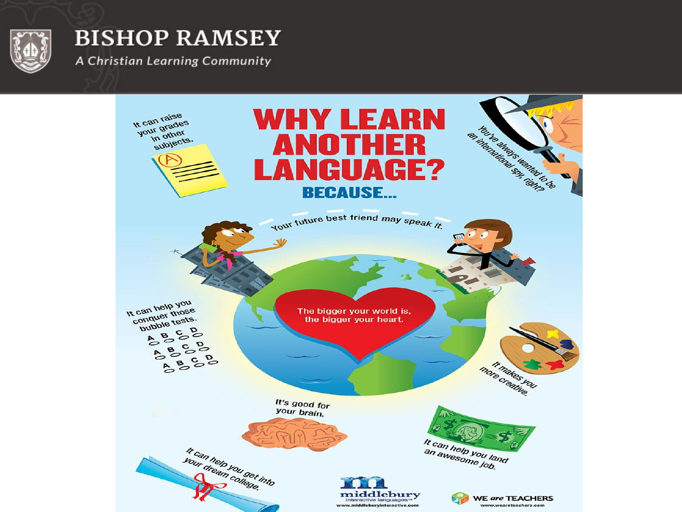

A Christian Learning Community

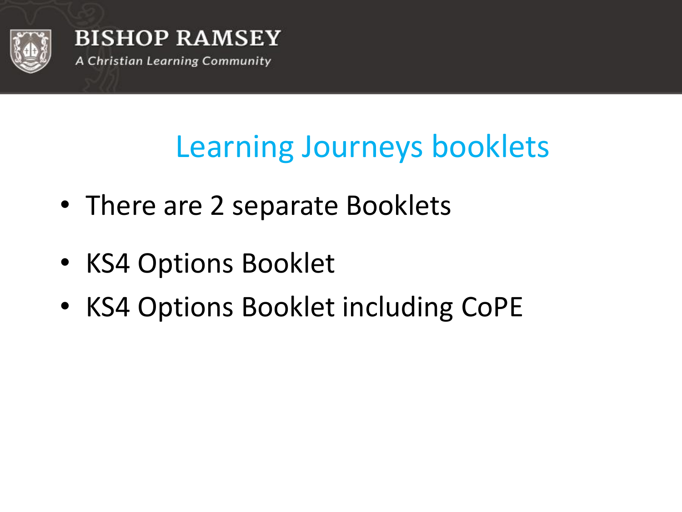

### Learning Journeys booklets

- There are 2 separate Booklets
- KS4 Options Booklet
- KS4 Options Booklet including CoPE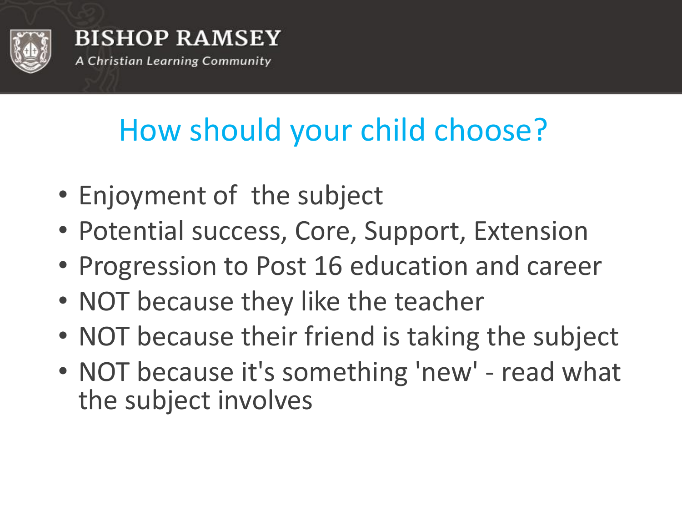

## How should your child choose?

- Enjoyment of the subject
- Potential success, Core, Support, Extension
- Progression to Post 16 education and career
- NOT because they like the teacher
- NOT because their friend is taking the subject
- NOT because it's something 'new' read what the subject involves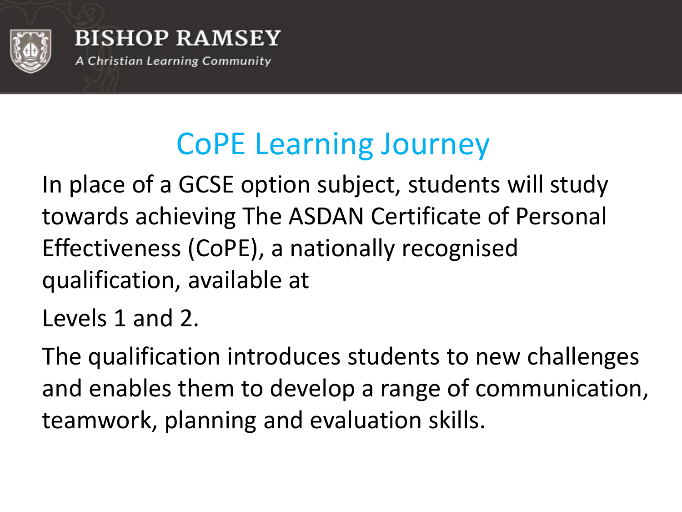

## CoPE Learning Journey

In place of a GCSE option subject, students will study towards achieving The ASDAN Certificate of Personal Effectiveness (CoPE), a nationally recognised qualification, available at

Levels 1 and 2.

The qualification introduces students to new challenges and enables them to develop a range of communication, teamwork, planning and evaluation skills.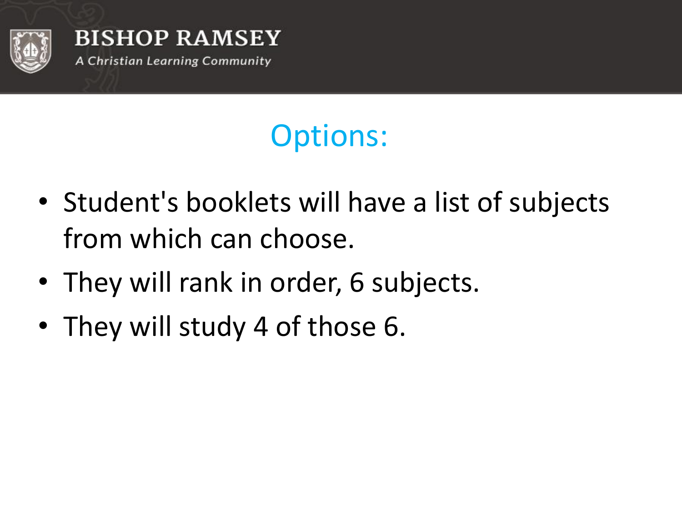

# Options:

- Student's booklets will have a list of subjects from which can choose.
- They will rank in order, 6 subjects.
- They will study 4 of those 6.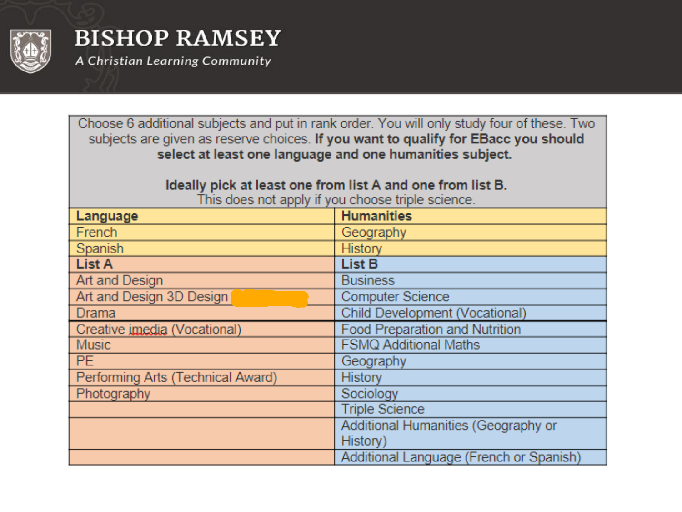

A Christian Learning Community

Choose 6 additional subjects and put in rank order. You will only study four of these. Two subjects are given as reserve choices. If you want to qualify for EBacc you should select at least one language and one humanities subject.

#### Ideally pick at least one from list A and one from list B.

This does not apply if you choose triple science.

| Language                          | <b>Humanities</b>                       |
|-----------------------------------|-----------------------------------------|
| French                            | Geography                               |
| Spanish                           | <b>History</b>                          |
| <b>List A</b>                     | <b>List B</b>                           |
| Art and Design                    | <b>Business</b>                         |
| Art and Design 3D Design          | <b>Computer Science</b>                 |
| <b>Drama</b>                      | Child Development (Vocational)          |
| Creative imedia (Vocational)      | <b>Food Preparation and Nutrition</b>   |
| <b>Music</b>                      | <b>FSMQ Additional Maths</b>            |
| PE.                               | Geography                               |
| Performing Arts (Technical Award) | <b>History</b>                          |
| Photography                       | Sociology                               |
|                                   | <b>Triple Science</b>                   |
|                                   | Additional Humanities (Geography or     |
|                                   | History)                                |
|                                   | Additional Language (French or Spanish) |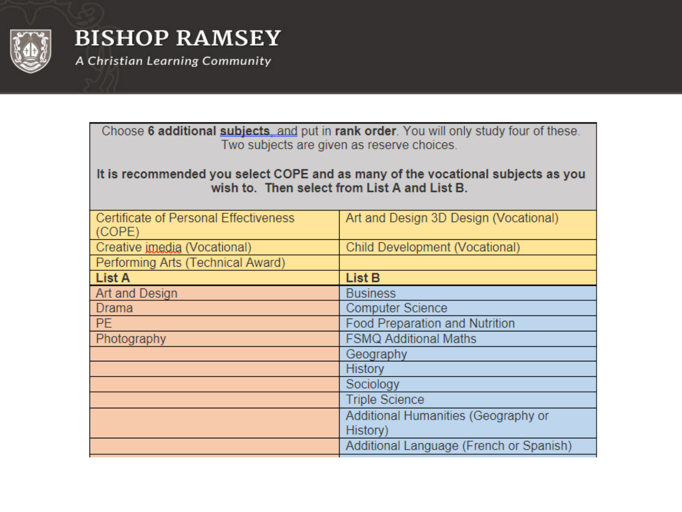

A Christian Learning Community

| Choose 6 additional subjects, and put in rank order. You will only study four of these. |  |
|-----------------------------------------------------------------------------------------|--|
| Two subjects are given as reserve choices.                                              |  |

#### It is recommended you select COPE and as many of the vocational subjects as you wish to. Then select from List A and List B.

| <b>Certificate of Personal Effectiveness</b><br>(COPE) | Art and Design 3D Design (Vocational)           |
|--------------------------------------------------------|-------------------------------------------------|
| Creative imedia (Vocational)                           | <b>Child Development (Vocational)</b>           |
| Performing Arts (Technical Award)                      |                                                 |
| <b>List A</b>                                          | List B                                          |
| Art and Design                                         | <b>Business</b>                                 |
| Drama                                                  | <b>Computer Science</b>                         |
| PE.                                                    | <b>Food Preparation and Nutrition</b>           |
| Photography                                            | <b>FSMQ Additional Maths</b>                    |
|                                                        | Geography                                       |
|                                                        | <b>History</b>                                  |
|                                                        | Sociology                                       |
|                                                        | <b>Triple Science</b>                           |
|                                                        | Additional Humanities (Geography or<br>History) |
|                                                        | Additional Language (French or Spanish)         |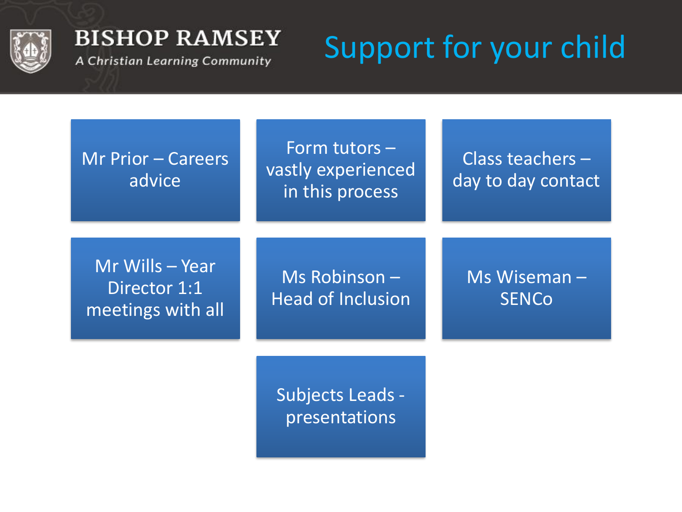

A Christian Learning Community

# Support for your child

Mr Prior – Careers advice

Form tutors – vastly experienced in this process

Class teachers – day to day contact

Mr Wills – Year Director 1:1 meetings with all

Ms Robinson – Head of Inclusion Ms Wiseman – **SENCo** 

Subjects Leads presentations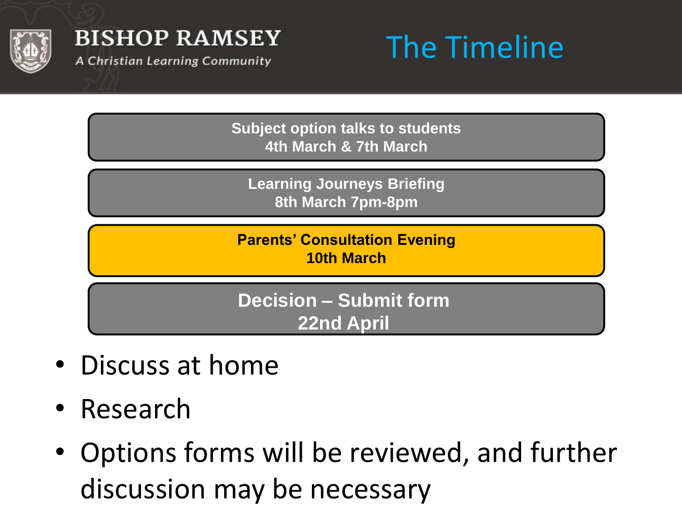

A Christian Learning Community



**Subject option talks to students 4th March & 7th March**

**Learning Journeys Briefing 8th March 7pm-8pm**

**Parents' Consultation Evening 10th March**

**Decision – Submit form 22nd April**

- Discuss at home
- Research
- Options forms will be reviewed, and further discussion may be necessary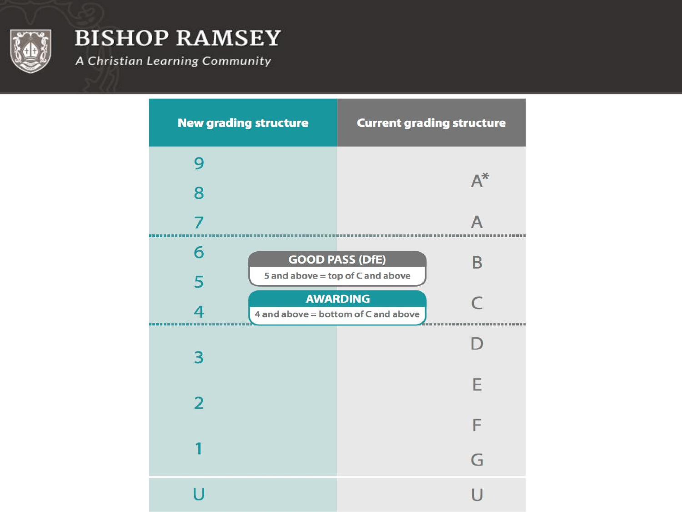

A Christian Learning Community

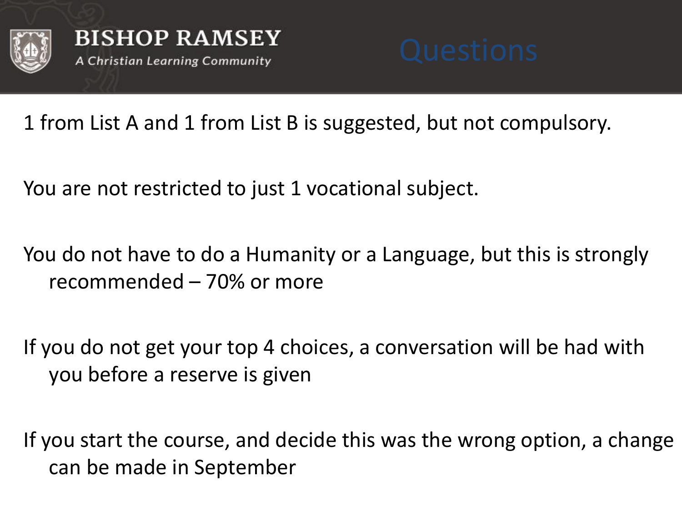



1 from List A and 1 from List B is suggested, but not compulsory.

You are not restricted to just 1 vocational subject.

You do not have to do a Humanity or a Language, but this is strongly recommended – 70% or more

If you do not get your top 4 choices, a conversation will be had with you before a reserve is given

If you start the course, and decide this was the wrong option, a change can be made in September